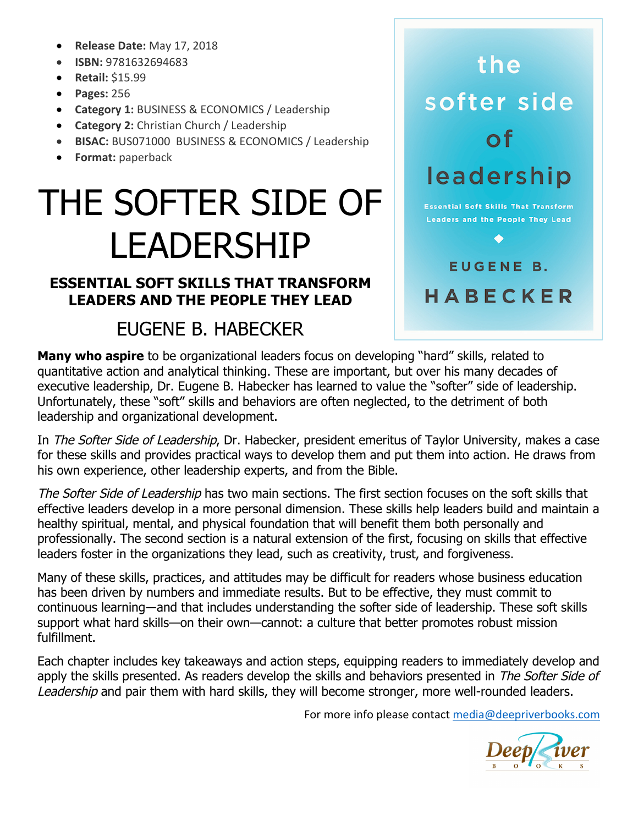- **Release Date:** May 17, 2018
- **ISBN:** 9781632694683
- **Retail:** \$15.99
- **Pages:** 256
- Category 1: BUSINESS & ECONOMICS / Leadership
- Category 2: Christian Church / Leadership
- BISAC: BUS071000 BUSINESS & ECONOMICS / Leadership
- **Format:** paperback

# THE SOFTER SIDE OF LEADERSHIP

#### **ESSENTIAL SOFT SKILLS THAT TRANSFORM LEADERS AND THE PEOPLE THEY LEAD**

# EUGENE B. HABECKER



**Many who aspire** to be organizational leaders focus on developing "hard" skills, related to quantitative action and analytical thinking. These are important, but over his many decades of executive leadership, Dr. Eugene B. Habecker has learned to value the "softer" side of leadership. Unfortunately, these "soft" skills and behaviors are often neglected, to the detriment of both leadership and organizational development.

In The Softer Side of Leadership, Dr. Habecker, president emeritus of Taylor University, makes a case for these skills and provides practical ways to develop them and put them into action. He draws from his own experience, other leadership experts, and from the Bible.

The Softer Side of Leadership has two main sections. The first section focuses on the soft skills that effective leaders develop in a more personal dimension. These skills help leaders build and maintain a healthy spiritual, mental, and physical foundation that will benefit them both personally and professionally. The second section is a natural extension of the first, focusing on skills that effective leaders foster in the organizations they lead, such as creativity, trust, and forgiveness.

Many of these skills, practices, and attitudes may be difficult for readers whose business education has been driven by numbers and immediate results. But to be effective, they must commit to continuous learning―and that includes understanding the softer side of leadership. These soft skills support what hard skills—on their own—cannot: a culture that better promotes robust mission fulfillment.

Each chapter includes key takeaways and action steps, equipping readers to immediately develop and apply the skills presented. As readers develop the skills and behaviors presented in The Softer Side of Leadership and pair them with hard skills, they will become stronger, more well-rounded leaders.

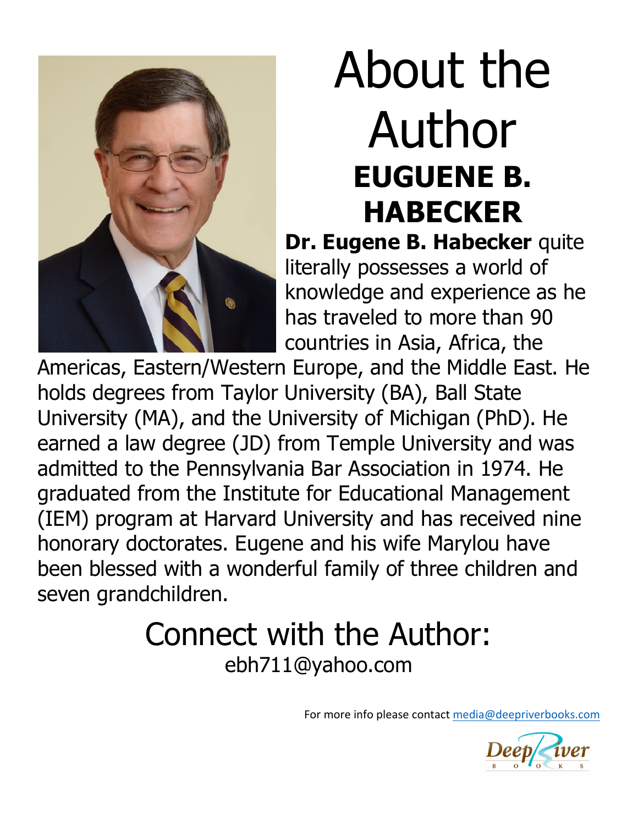

# About the Author **EUGUENE B. HABECKER**

**Dr. Eugene B. Habecker quite** literally possesses a world of knowledge and experience as he has traveled to more than 90 countries in Asia, Africa, the

Americas, Eastern/Western Europe, and the Middle East. He holds degrees from Taylor University (BA), Ball State University (MA), and the University of Michigan (PhD). He earned a law degree (JD) from Temple University and was admitted to the Pennsylvania Bar Association in 1974. He graduated from the Institute for Educational Management (IEM) program at Harvard University and has received nine honorary doctorates. Eugene and his wife Marylou have been blessed with a wonderful family of three children and seven grandchildren.

# Connect with the Author: ebh711@yahoo.com

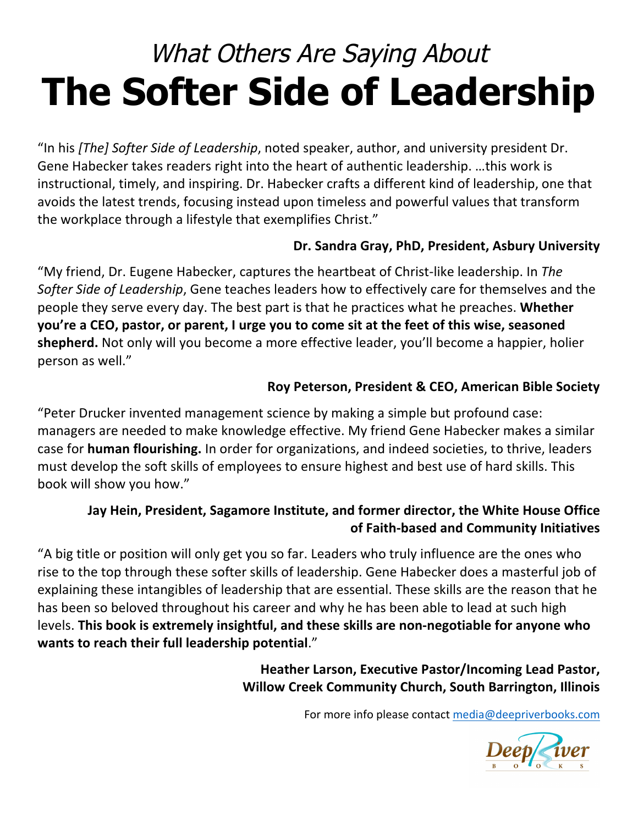# What Others Are Saying About **The Softer Side of Leadership**

"In his *[The] Softer Side of Leadership*, noted speaker, author, and university president Dr. Gene Habecker takes readers right into the heart of authentic leadership. ...this work is instructional, timely, and inspiring. Dr. Habecker crafts a different kind of leadership, one that avoids the latest trends, focusing instead upon timeless and powerful values that transform the workplace through a lifestyle that exemplifies Christ."

#### Dr. Sandra Gray, PhD, President, Asbury University

"My friend, Dr. Eugene Habecker, captures the heartbeat of Christ-like leadership. In The *Softer Side of Leadership*, Gene teaches leaders how to effectively care for themselves and the people they serve every day. The best part is that he practices what he preaches. Whether **you're a CEO, pastor, or parent, I urge you to come sit at the feet of this wise, seasoned shepherd.** Not only will you become a more effective leader, you'll become a happier, holier person as well."

#### **Roy Peterson, President & CEO, American Bible Society**

"Peter Drucker invented management science by making a simple but profound case: managers are needed to make knowledge effective. My friend Gene Habecker makes a similar case for **human flourishing.** In order for organizations, and indeed societies, to thrive, leaders must develop the soft skills of employees to ensure highest and best use of hard skills. This book will show you how."

#### Jay Hein, President, Sagamore Institute, and former director, the White House Office **of Faith-based and Community Initiatives**

"A big title or position will only get you so far. Leaders who truly influence are the ones who rise to the top through these softer skills of leadership. Gene Habecker does a masterful job of explaining these intangibles of leadership that are essential. These skills are the reason that he has been so beloved throughout his career and why he has been able to lead at such high levels. This book is extremely insightful, and these skills are non-negotiable for anyone who **wants to reach their full leadership potential."** 

> **Heather Larson, Executive Pastor/Incoming Lead Pastor, Willow Creek Community Church, South Barrington, Illinois**

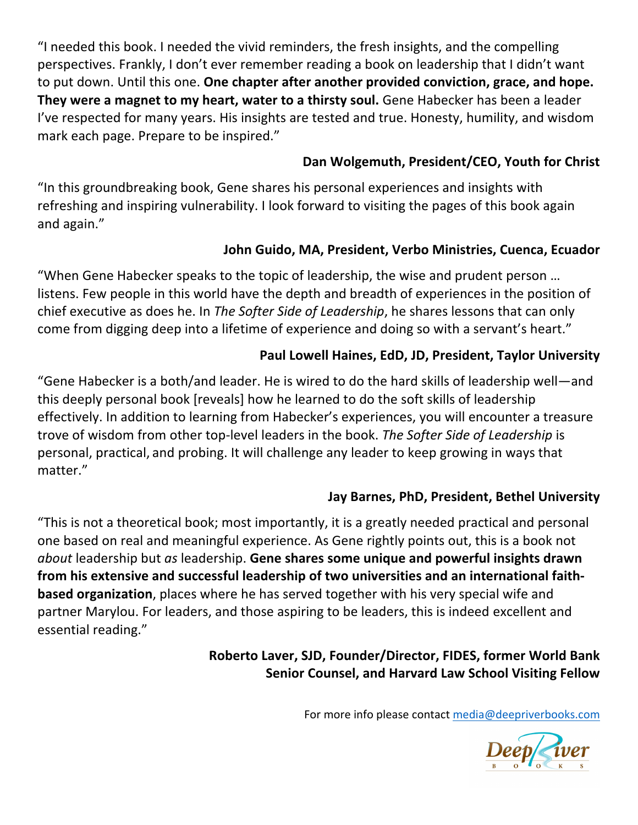"I needed this book. I needed the vivid reminders, the fresh insights, and the compelling perspectives. Frankly, I don't ever remember reading a book on leadership that I didn't want to put down. Until this one. One chapter after another provided conviction, grace, and hope. **They were a magnet to my heart, water to a thirsty soul.** Gene Habecker has been a leader I've respected for many years. His insights are tested and true. Honesty, humility, and wisdom mark each page. Prepare to be inspired."

#### Dan Wolgemuth, President/CEO, Youth for Christ

"In this groundbreaking book, Gene shares his personal experiences and insights with refreshing and inspiring vulnerability. I look forward to visiting the pages of this book again and again."

#### John Guido, MA, President, Verbo Ministries, Cuenca, Ecuador

"When Gene Habecker speaks to the topic of leadership, the wise and prudent person ... listens. Few people in this world have the depth and breadth of experiences in the position of chief executive as does he. In *The Softer Side of Leadership*, he shares lessons that can only come from digging deep into a lifetime of experience and doing so with a servant's heart."

#### Paul Lowell Haines, EdD, JD, President, Taylor University

"Gene Habecker is a both/and leader. He is wired to do the hard skills of leadership well—and this deeply personal book [reveals] how he learned to do the soft skills of leadership effectively. In addition to learning from Habecker's experiences, you will encounter a treasure trove of wisdom from other top-level leaders in the book. The Softer Side of Leadership is personal, practical, and probing. It will challenge any leader to keep growing in ways that matter."

#### **Jay Barnes, PhD, President, Bethel University**

"This is not a theoretical book; most importantly, it is a greatly needed practical and personal one based on real and meaningful experience. As Gene rightly points out, this is a book not about leadership but as leadership. Gene shares some unique and powerful insights drawn from his extensive and successful leadership of two universities and an international faith**based organization**, places where he has served together with his very special wife and partner Marylou. For leaders, and those aspiring to be leaders, this is indeed excellent and essential reading."

#### **Roberto Laver, SJD, Founder/Director, FIDES, former World Bank Senior Counsel, and Harvard Law School Visiting Fellow**

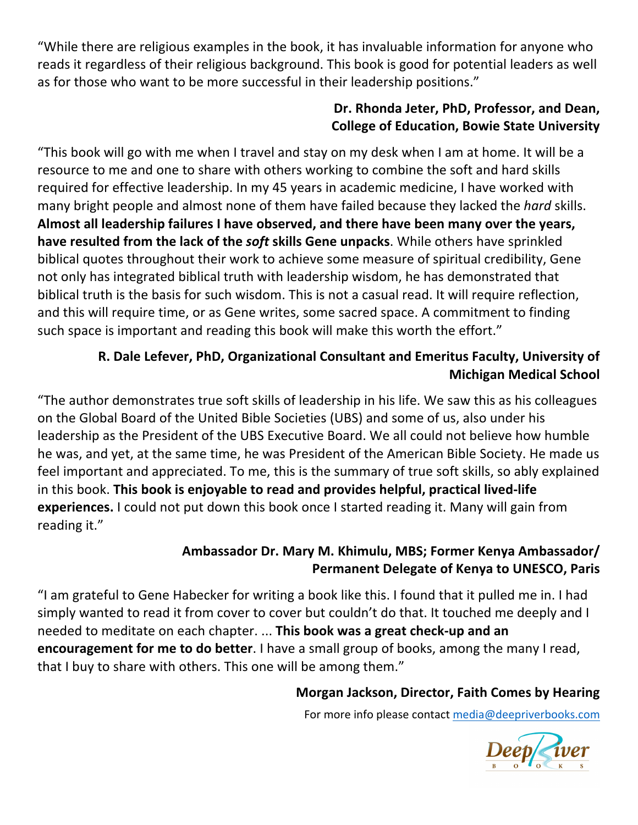"While there are religious examples in the book, it has invaluable information for anyone who reads it regardless of their religious background. This book is good for potential leaders as well as for those who want to be more successful in their leadership positions."

#### **Dr. Rhonda Jeter, PhD, Professor, and Dean, College of Education, Bowie State University**

"This book will go with me when I travel and stay on my desk when I am at home. It will be a resource to me and one to share with others working to combine the soft and hard skills required for effective leadership. In my 45 years in academic medicine, I have worked with many bright people and almost none of them have failed because they lacked the *hard* skills. Almost all leadership failures I have observed, and there have been many over the years, **have resulted from the lack of the** *soft* **skills Gene unpacks**. While others have sprinkled biblical quotes throughout their work to achieve some measure of spiritual credibility, Gene not only has integrated biblical truth with leadership wisdom, he has demonstrated that biblical truth is the basis for such wisdom. This is not a casual read. It will require reflection, and this will require time, or as Gene writes, some sacred space. A commitment to finding such space is important and reading this book will make this worth the effort."

#### R. Dale Lefever, PhD, Organizational Consultant and Emeritus Faculty, University of **Michigan Medical School**

"The author demonstrates true soft skills of leadership in his life. We saw this as his colleagues on the Global Board of the United Bible Societies (UBS) and some of us, also under his leadership as the President of the UBS Executive Board. We all could not believe how humble he was, and yet, at the same time, he was President of the American Bible Society. He made us feel important and appreciated. To me, this is the summary of true soft skills, so ably explained in this book. This book is enjoyable to read and provides helpful, practical lived-life **experiences.** I could not put down this book once I started reading it. Many will gain from reading it."

#### Ambassador Dr. Mary M. Khimulu, MBS; Former Kenya Ambassador/ **Permanent Delegate of Kenya to UNESCO, Paris**

"I am grateful to Gene Habecker for writing a book like this. I found that it pulled me in. I had simply wanted to read it from cover to cover but couldn't do that. It touched me deeply and I needed to meditate on each chapter. ... **This book was a great check-up and an encouragement for me to do better**. I have a small group of books, among the many I read, that I buy to share with others. This one will be among them."

#### **Morgan Jackson, Director, Faith Comes by Hearing**

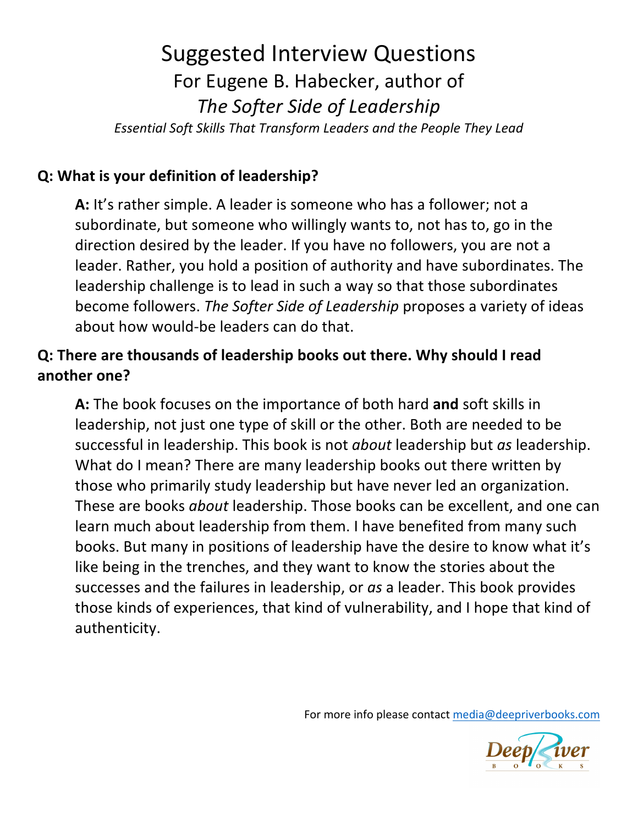# Suggested Interview Questions For Eugene B. Habecker, author of **The Softer Side of Leadership** *Essential Soft Skills That Transform Leaders and the People They Lead*

#### **Q: What is your definition of leadership?**

A: It's rather simple. A leader is someone who has a follower; not a subordinate, but someone who willingly wants to, not has to, go in the direction desired by the leader. If you have no followers, you are not a leader. Rather, you hold a position of authority and have subordinates. The leadership challenge is to lead in such a way so that those subordinates become followers. The Softer Side of Leadership proposes a variety of ideas about how would-be leaders can do that.

# **Q: There are thousands of leadership books out there. Why should I read** another one?

A: The book focuses on the importance of both hard and soft skills in leadership, not just one type of skill or the other. Both are needed to be successful in leadership. This book is not *about* leadership but *as* leadership. What do I mean? There are many leadership books out there written by those who primarily study leadership but have never led an organization. These are books *about* leadership. Those books can be excellent, and one can learn much about leadership from them. I have benefited from many such books. But many in positions of leadership have the desire to know what it's like being in the trenches, and they want to know the stories about the successes and the failures in leadership, or *as* a leader. This book provides those kinds of experiences, that kind of vulnerability, and I hope that kind of authenticity.

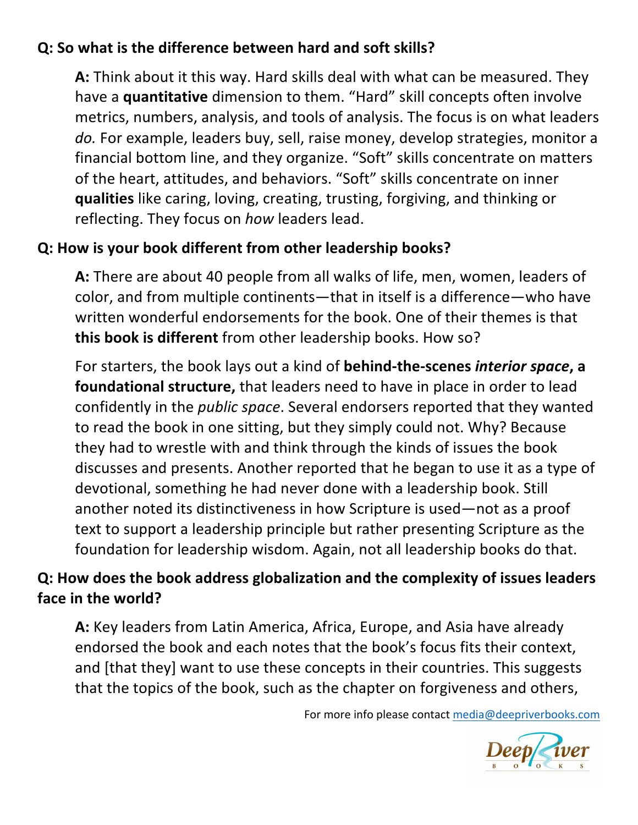# **Q:** So what is the difference between hard and soft skills?

**A:** Think about it this way. Hard skills deal with what can be measured. They have a **quantitative** dimension to them. "Hard" skill concepts often involve metrics, numbers, analysis, and tools of analysis. The focus is on what leaders do. For example, leaders buy, sell, raise money, develop strategies, monitor a financial bottom line, and they organize. "Soft" skills concentrate on matters of the heart, attitudes, and behaviors. "Soft" skills concentrate on inner **qualities** like caring, loving, creating, trusting, forgiving, and thinking or reflecting. They focus on *how* leaders lead.

## **Q:** How is your book different from other leadership books?

**A:** There are about 40 people from all walks of life, men, women, leaders of color, and from multiple continents—that in itself is a difference—who have written wonderful endorsements for the book. One of their themes is that **this book is different** from other leadership books. How so?

For starters, the book lays out a kind of **behind-the-scenes** *interior space*, a **foundational structure,** that leaders need to have in place in order to lead confidently in the *public space*. Several endorsers reported that they wanted to read the book in one sitting, but they simply could not. Why? Because they had to wrestle with and think through the kinds of issues the book discusses and presents. Another reported that he began to use it as a type of devotional, something he had never done with a leadership book. Still another noted its distinctiveness in how Scripture is used—not as a proof text to support a leadership principle but rather presenting Scripture as the foundation for leadership wisdom. Again, not all leadership books do that.

# **Q:** How does the book address globalization and the complexity of issues leaders face in the world?

A: Key leaders from Latin America, Africa, Europe, and Asia have already endorsed the book and each notes that the book's focus fits their context, and [that they] want to use these concepts in their countries. This suggests that the topics of the book, such as the chapter on forgiveness and others,

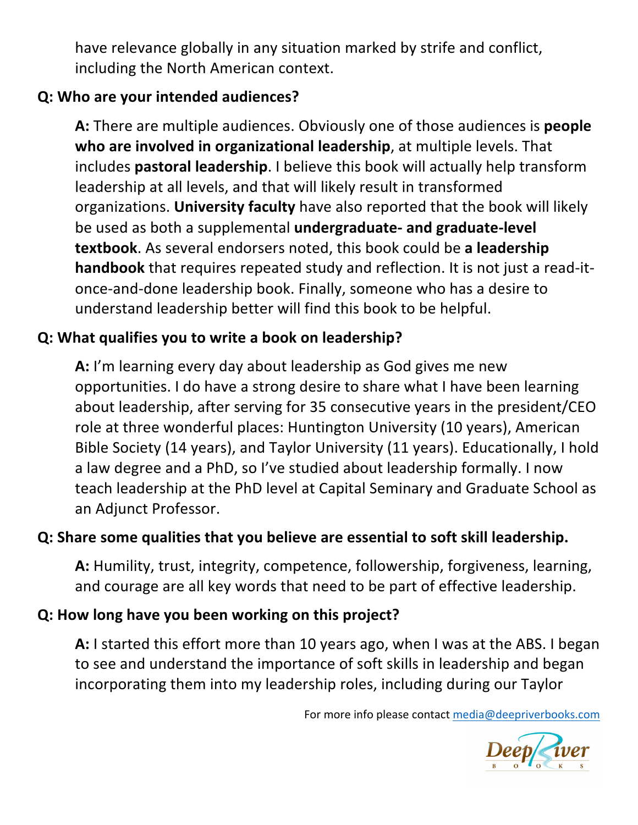have relevance globally in any situation marked by strife and conflict, including the North American context.

## **Q: Who are your intended audiences?**

**A:** There are multiple audiences. Obviously one of those audiences is **people** who are involved in organizational leadership, at multiple levels. That **includes pastoral leadership**. I believe this book will actually help transform leadership at all levels, and that will likely result in transformed organizations. University faculty have also reported that the book will likely be used as both a supplemental **undergraduate-** and graduate-level **textbook**. As several endorsers noted, this book could be a leadership **handbook** that requires repeated study and reflection. It is not just a read-itonce-and-done leadership book. Finally, someone who has a desire to understand leadership better will find this book to be helpful.

# **Q: What qualifies you to write a book on leadership?**

**A:** I'm learning every day about leadership as God gives me new opportunities. I do have a strong desire to share what I have been learning about leadership, after serving for 35 consecutive years in the president/CEO role at three wonderful places: Huntington University (10 years), American Bible Society (14 years), and Taylor University (11 years). Educationally, I hold a law degree and a PhD, so I've studied about leadership formally. I now teach leadership at the PhD level at Capital Seminary and Graduate School as an Adjunct Professor.

# **Q:** Share some qualities that you believe are essential to soft skill leadership.

A: Humility, trust, integrity, competence, followership, forgiveness, learning, and courage are all key words that need to be part of effective leadership.

# **Q:** How long have you been working on this project?

**A:** I started this effort more than 10 years ago, when I was at the ABS. I began to see and understand the importance of soft skills in leadership and began incorporating them into my leadership roles, including during our Taylor